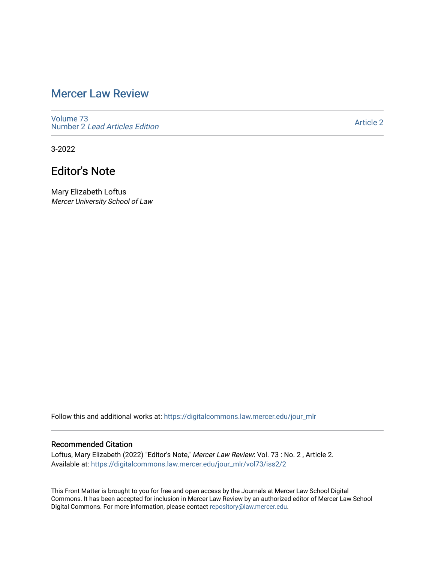# [Mercer Law Review](https://digitalcommons.law.mercer.edu/jour_mlr)

[Volume 73](https://digitalcommons.law.mercer.edu/jour_mlr/vol73) Number 2 [Lead Articles Edition](https://digitalcommons.law.mercer.edu/jour_mlr/vol73/iss2)

[Article 2](https://digitalcommons.law.mercer.edu/jour_mlr/vol73/iss2/2) 

3-2022

# Editor's Note

Mary Elizabeth Loftus Mercer University School of Law

Follow this and additional works at: [https://digitalcommons.law.mercer.edu/jour\\_mlr](https://digitalcommons.law.mercer.edu/jour_mlr?utm_source=digitalcommons.law.mercer.edu%2Fjour_mlr%2Fvol73%2Fiss2%2F2&utm_medium=PDF&utm_campaign=PDFCoverPages)

### Recommended Citation

Loftus, Mary Elizabeth (2022) "Editor's Note," Mercer Law Review: Vol. 73 : No. 2 , Article 2. Available at: [https://digitalcommons.law.mercer.edu/jour\\_mlr/vol73/iss2/2](https://digitalcommons.law.mercer.edu/jour_mlr/vol73/iss2/2?utm_source=digitalcommons.law.mercer.edu%2Fjour_mlr%2Fvol73%2Fiss2%2F2&utm_medium=PDF&utm_campaign=PDFCoverPages)

This Front Matter is brought to you for free and open access by the Journals at Mercer Law School Digital Commons. It has been accepted for inclusion in Mercer Law Review by an authorized editor of Mercer Law School Digital Commons. For more information, please contact [repository@law.mercer.edu](mailto:repository@law.mercer.edu).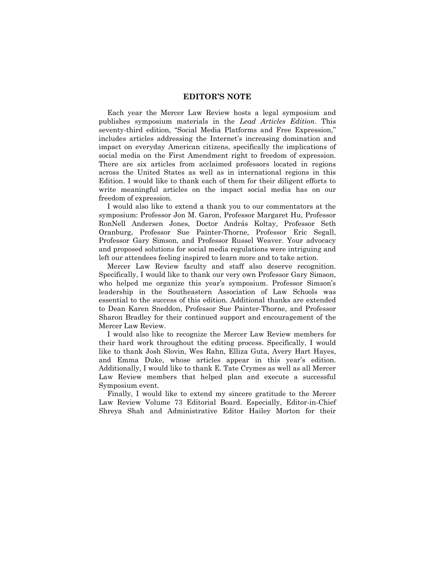#### **EDITOR'S NOTE**

Each year the Mercer Law Review hosts a legal symposium and publishes symposium materials in the *Lead Articles Edition*. This seventy-third edition, "Social Media Platforms and Free Expression," includes articles addressing the Internet's increasing domination and impact on everyday American citizens, specifically the implications of social media on the First Amendment right to freedom of expression. There are six articles from acclaimed professors located in regions across the United States as well as in international regions in this Edition. I would like to thank each of them for their diligent efforts to write meaningful articles on the impact social media has on our freedom of expression.

I would also like to extend a thank you to our commentators at the symposium: Professor Jon M. Garon, Professor Margaret Hu, Professor RonNell Andersen Jones, Doctor András Koltay, Professor Seth Oranburg, Professor Sue Painter-Thorne, Professor Eric Segall, Professor Gary Simson, and Professor Russel Weaver. Your advocacy and proposed solutions for social media regulations were intriguing and left our attendees feeling inspired to learn more and to take action.

Mercer Law Review faculty and staff also deserve recognition. Specifically, I would like to thank our very own Professor Gary Simson, who helped me organize this year's symposium. Professor Simson's leadership in the Southeastern Association of Law Schools was essential to the success of this edition. Additional thanks are extended to Dean Karen Sneddon, Professor Sue Painter-Thorne, and Professor Sharon Bradley for their continued support and encouragement of the Mercer Law Review.

I would also like to recognize the Mercer Law Review members for their hard work throughout the editing process. Specifically, I would like to thank Josh Slovin, Wes Rahn, Elliza Guta, Avery Hart Hayes, and Emma Duke, whose articles appear in this year's edition. Additionally, I would like to thank E. Tate Crymes as well as all Mercer Law Review members that helped plan and execute a successful Symposium event.

Finally, I would like to extend my sincere gratitude to the Mercer Law Review Volume 73 Editorial Board. Especially, Editor-in-Chief Shreya Shah and Administrative Editor Hailey Morton for their